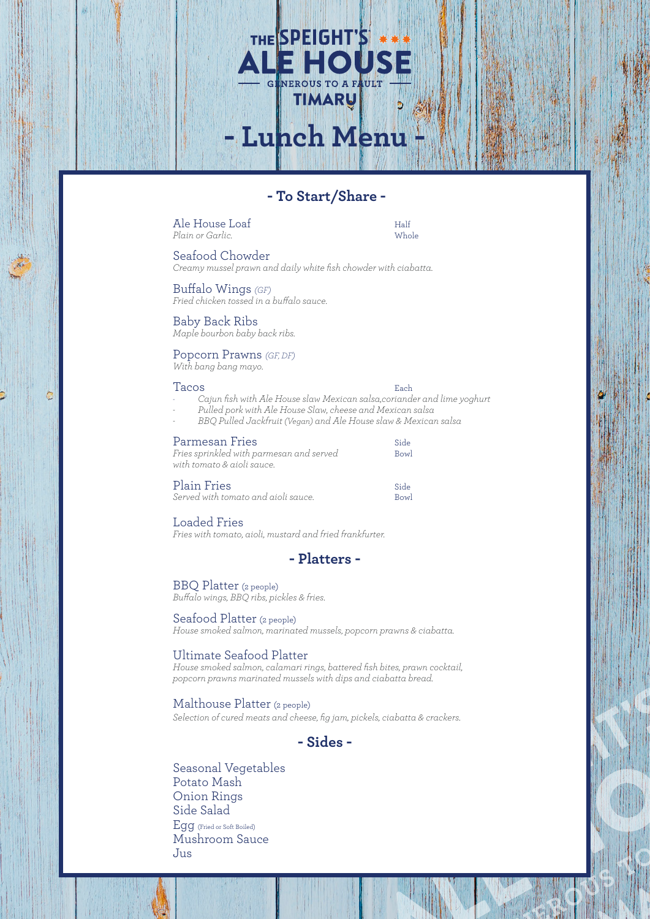# **- To Start/Share -**

**- Lunch Menu -**

THE SPEIGHT'S

Ale House Loaf<br>
Plain or Garlic<br>
Whole *Plain or Garlic*.

Seafood Chowder

*Creamy mussel prawn and daily white fish chowder with ciabatta.*

Buffalo Wings *(GF) Fried chicken tossed in a buffalo sauce.* 

Baby Back Ribs *Maple bourbon baby back ribs.*

## Popcorn Prawns *(GF, DF)*

*With bang bang mayo.*

#### Tacos **Each**

¢

- *- Cajun fish with Ale House slaw Mexican salsa,coriander and lime yoghurt*
	- *- Pulled pork with Ale House Slaw, cheese and Mexican salsa - BBQ Pulled Jackfruit (Vegan) and Ale House slaw & Mexican salsa*

#### Parmesan Fries Side

| Fries sprinkled with parmesan and served<br>with tomato & aioli sauce. | Bowl |
|------------------------------------------------------------------------|------|
| Plain Fries                                                            | Side |
| Served with tomato and aioli sauce.                                    | Bowl |

# Loaded Fries

*Fries with tomato, aioli, mustard and fried frankfurter.*



## BBQ Platter (2 people)

*Buffalo wings, BBQ ribs, pickles & fries.*

# Seafood Platter (2 people)

*House smoked salmon, marinated mussels, popcorn prawns & ciabatta.*

## Ultimate Seafood Platter

*House smoked salmon, calamari rings, battered fish bites, prawn cocktail, popcorn prawns marinated mussels with dips and ciabatta bread.*

#### Malthouse Platter (2 people)

*Selection of cured meats and cheese, fig jam, pickels, ciabatta & crackers.*

# **- Sides -**

Seasonal Vegetables Potato Mash Onion Rings Side Salad Egg (Fried or Soft Boiled) Mushroom Sauce Jus